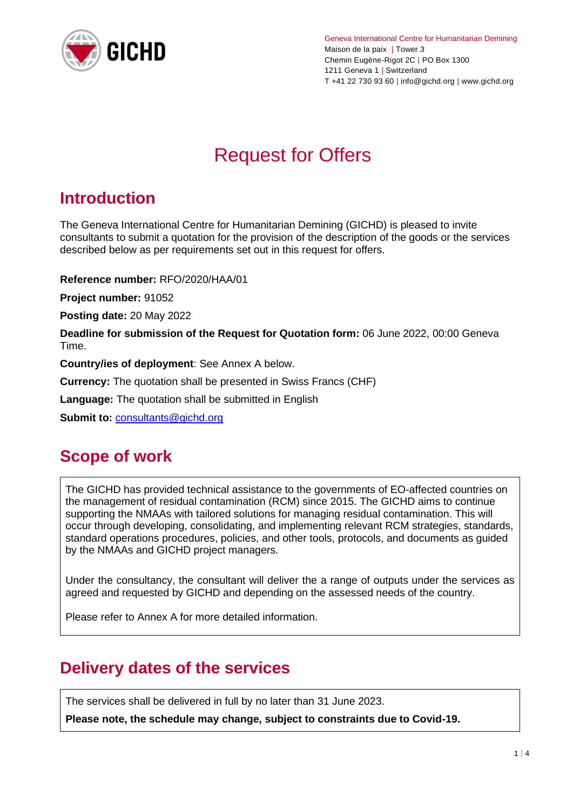

Geneva International Centre for Humanitarian Demining Maison de la paix | Tower 3 Chemin Eugène-Rigot 2C | PO Box 1300 1211 Geneva 1 | Switzerland T +41 22 730 93 60 | info@gichd.org | www.gichd.org

# Request for Offers

# **Introduction**

The Geneva International Centre for Humanitarian Demining (GICHD) is pleased to invite consultants to submit a quotation for the provision of the description of the goods or the services described below as per requirements set out in this request for offers.

**Reference number:** RFO/2020/HAA/01

**Project number:** 91052

**Posting date:** 20 May 2022

**Deadline for submission of the Request for Quotation form:** 06 June 2022, 00:00 Geneva Time.

**Country/ies of deployment**: See Annex A below.

**Currency:** The quotation shall be presented in Swiss Francs (CHF)

**Language:** The quotation shall be submitted in English

**Submit to:** [consultants@gichd.org](mailto:consultants@gichd.org)

### **Scope of work**

The GICHD has provided technical assistance to the governments of EO-affected countries on the management of residual contamination (RCM) since 2015. The GICHD aims to continue supporting the NMAAs with tailored solutions for managing residual contamination. This will occur through developing, consolidating, and implementing relevant RCM strategies, standards, standard operations procedures, policies, and other tools, protocols, and documents as guided by the NMAAs and GICHD project managers.

Under the consultancy, the consultant will deliver the a range of outputs under the services as agreed and requested by GICHD and depending on the assessed needs of the country.

Please refer to Annex A for more detailed information.

## **Delivery dates of the services**

The services shall be delivered in full by no later than 31 June 2023.

**Please note, the schedule may change, subject to constraints due to Covid-19.**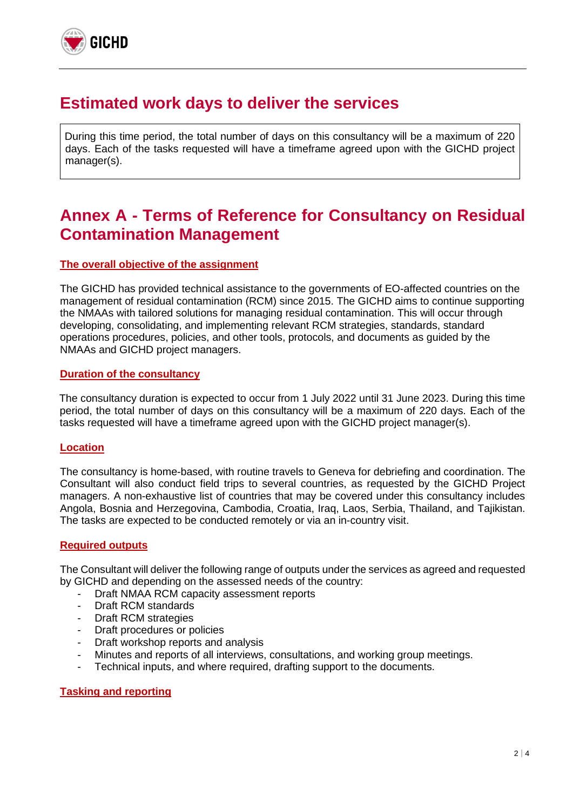

### **Estimated work days to deliver the services**

During this time period, the total number of days on this consultancy will be a maximum of 220 days. Each of the tasks requested will have a timeframe agreed upon with the GICHD project manager(s).

# **Annex A - Terms of Reference for Consultancy on Residual Contamination Management**

#### **The overall objective of the assignment**

The GICHD has provided technical assistance to the governments of EO-affected countries on the management of residual contamination (RCM) since 2015. The GICHD aims to continue supporting the NMAAs with tailored solutions for managing residual contamination. This will occur through developing, consolidating, and implementing relevant RCM strategies, standards, standard operations procedures, policies, and other tools, protocols, and documents as guided by the NMAAs and GICHD project managers.

#### **Duration of the consultancy**

The consultancy duration is expected to occur from 1 July 2022 until 31 June 2023. During this time period, the total number of days on this consultancy will be a maximum of 220 days. Each of the tasks requested will have a timeframe agreed upon with the GICHD project manager(s).

#### **Location**

The consultancy is home-based, with routine travels to Geneva for debriefing and coordination. The Consultant will also conduct field trips to several countries, as requested by the GICHD Project managers. A non-exhaustive list of countries that may be covered under this consultancy includes Angola, Bosnia and Herzegovina, Cambodia, Croatia, Iraq, Laos, Serbia, Thailand, and Tajikistan. The tasks are expected to be conducted remotely or via an in-country visit.

#### **Required outputs**

The Consultant will deliver the following range of outputs under the services as agreed and requested by GICHD and depending on the assessed needs of the country:

- Draft NMAA RCM capacity assessment reports
- Draft RCM standards
- Draft RCM strategies
- Draft procedures or policies
- Draft workshop reports and analysis
- Minutes and reports of all interviews, consultations, and working group meetings.
- Technical inputs, and where required, drafting support to the documents.

#### **Tasking and reporting**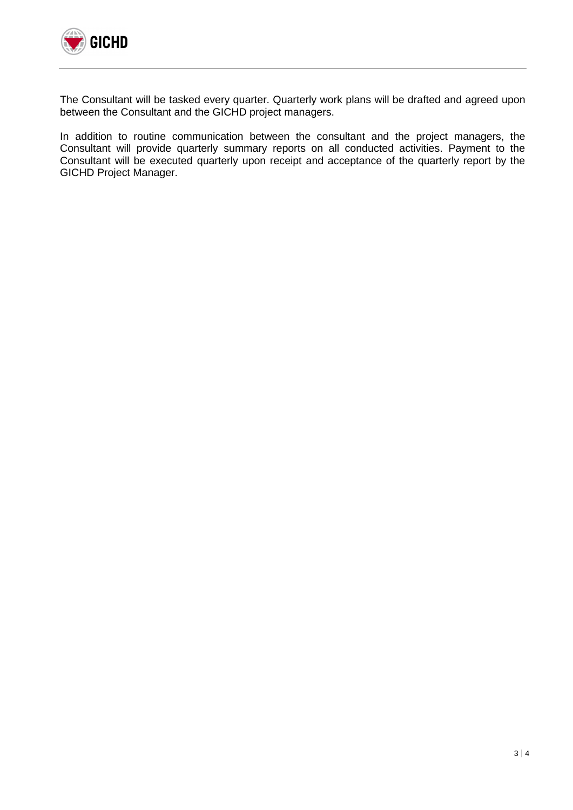

The Consultant will be tasked every quarter. Quarterly work plans will be drafted and agreed upon between the Consultant and the GICHD project managers.

In addition to routine communication between the consultant and the project managers, the Consultant will provide quarterly summary reports on all conducted activities. Payment to the Consultant will be executed quarterly upon receipt and acceptance of the quarterly report by the GICHD Project Manager.